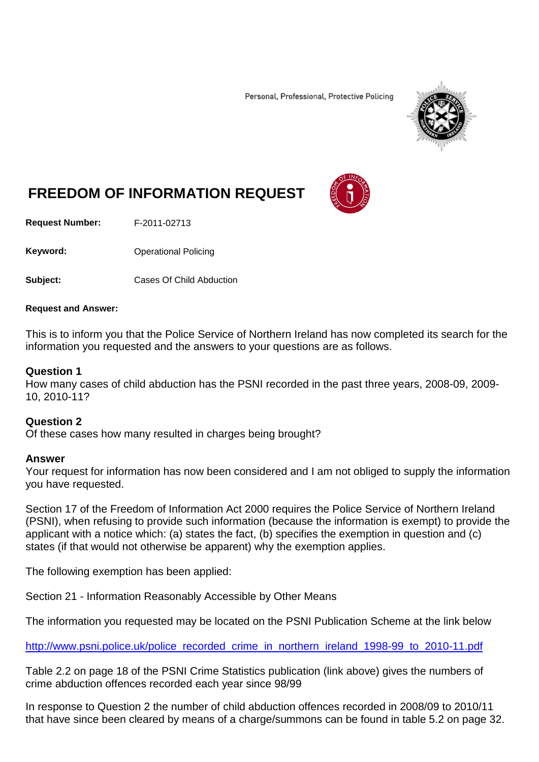Personal, Professional, Protective Policing



# **FREEDOM OF INFORMATION REQUEST**

**Request Number:** F-2011-02713

Keyword: **Channel Policing** Operational Policing

**Subject:** Cases Of Child Abduction

#### **Request and Answer:**

This is to inform you that the Police Service of Northern Ireland has now completed its search for the information you requested and the answers to your questions are as follows.

### **Question 1**

How many cases of child abduction has the PSNI recorded in the past three years, 2008-09, 2009- 10, 2010-11?

## **Question 2**

Of these cases how many resulted in charges being brought?

#### **Answer**

Your request for information has now been considered and I am not obliged to supply the information you have requested.

Section 17 of the Freedom of Information Act 2000 requires the Police Service of Northern Ireland (PSNI), when refusing to provide such information (because the information is exempt) to provide the applicant with a notice which: (a) states the fact, (b) specifies the exemption in question and (c) states (if that would not otherwise be apparent) why the exemption applies.

The following exemption has been applied:

Section 21 - Information Reasonably Accessible by Other Means

The information you requested may be located on the PSNI Publication Scheme at the link below

[http://www.psni.police.uk/police\\_recorded\\_crime\\_in\\_northern\\_ireland\\_1998-99\\_to\\_2010-11.pdf](http://www.psni.police.uk/police_recorded_crime_in_northern_ireland_1998-99_to_2010-11.pdf)

Table 2.2 on page 18 of the PSNI Crime Statistics publication (link above) gives the numbers of crime abduction offences recorded each year since 98/99

In response to Question 2 the number of child abduction offences recorded in 2008/09 to 2010/11 that have since been cleared by means of a charge/summons can be found in table 5.2 on page 32.